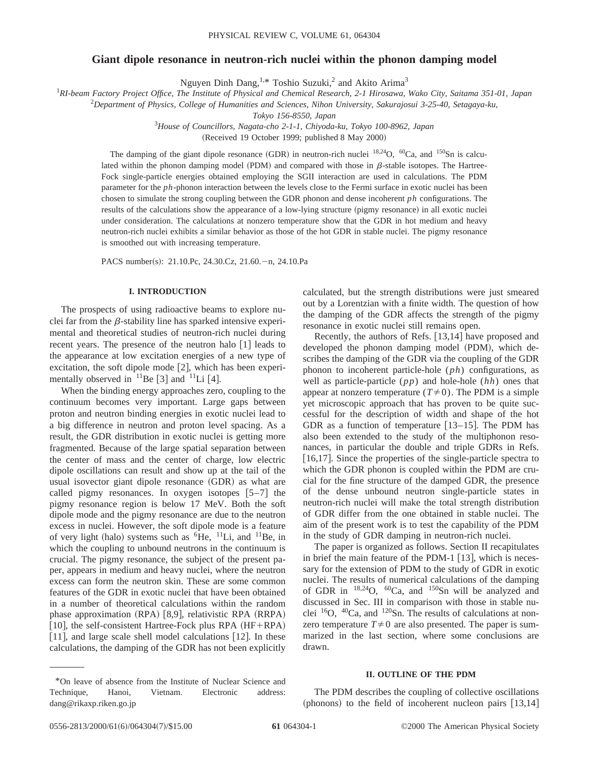# **Giant dipole resonance in neutron-rich nuclei within the phonon damping model**

Nguyen Dinh Dang,<sup>1,\*</sup> Toshio Suzuki,<sup>2</sup> and Akito Arima<sup>3</sup>

1 *RI-beam Factory Project Office, The Institute of Physical and Chemical Research, 2-1 Hirosawa, Wako City, Saitama 351-01, Japan*

2 *Department of Physics, College of Humanities and Sciences, Nihon University, Sakurajosui 3-25-40, Setagaya-ku,*

*Tokyo 156-8550, Japan*

3 *House of Councillors, Nagata-cho 2-1-1, Chiyoda-ku, Tokyo 100-8962, Japan*

(Received 19 October 1999; published 8 May 2000)

The damping of the giant dipole resonance (GDR) in neutron-rich nuclei  $^{18,24}$ O,  $^{60}$ Ca, and  $^{150}$ Sn is calculated within the phonon damping model (PDM) and compared with those in  $\beta$ -stable isotopes. The Hartree-Fock single-particle energies obtained employing the SGII interaction are used in calculations. The PDM parameter for the *ph*-phonon interaction between the levels close to the Fermi surface in exotic nuclei has been chosen to simulate the strong coupling between the GDR phonon and dense incoherent *ph* configurations. The results of the calculations show the appearance of a low-lying structure (pigmy resonance) in all exotic nuclei under consideration. The calculations at nonzero temperature show that the GDR in hot medium and heavy neutron-rich nuclei exhibits a similar behavior as those of the hot GDR in stable nuclei. The pigmy resonance is smoothed out with increasing temperature.

PACS number(s): 21.10.Pc, 24.30.Cz, 21.60. $-n$ , 24.10.Pa

## **I. INTRODUCTION**

The prospects of using radioactive beams to explore nuclei far from the  $\beta$ -stability line has sparked intensive experimental and theoretical studies of neutron-rich nuclei during recent years. The presence of the neutron halo  $[1]$  leads to the appearance at low excitation energies of a new type of excitation, the soft dipole mode  $[2]$ , which has been experimentally observed in  $^{11}$ Be [3] and  $^{11}$ Li [4].

When the binding energy approaches zero, coupling to the continuum becomes very important. Large gaps between proton and neutron binding energies in exotic nuclei lead to a big difference in neutron and proton level spacing. As a result, the GDR distribution in exotic nuclei is getting more fragmented. Because of the large spatial separation between the center of mass and the center of charge, low electric dipole oscillations can result and show up at the tail of the usual isovector giant dipole resonance (GDR) as what are called pigmy resonances. In oxygen isotopes  $[5-7]$  the pigmy resonance region is below 17 MeV. Both the soft dipole mode and the pigmy resonance are due to the neutron excess in nuclei. However, the soft dipole mode is a feature of very light (halo) systems such as  ${}^{6}$ He,  ${}^{11}$ Li, and  ${}^{11}$ Be, in which the coupling to unbound neutrons in the continuum is crucial. The pigmy resonance, the subject of the present paper, appears in medium and heavy nuclei, where the neutron excess can form the neutron skin. These are some common features of the GDR in exotic nuclei that have been obtained in a number of theoretical calculations within the random phase approximation  $(RPA)$   $[8,9]$ , relativistic RPA  $(RRPA)$ [10], the self-consistent Hartree-Fock plus RPA  $(HF+RPA)$ [11], and large scale shell model calculations  $[12]$ . In these calculations, the damping of the GDR has not been explicitly

\*On leave of absence from the Institute of Nuclear Science and Technique, Hanoi, Vietnam. Electronic address: dang@rikaxp.riken.go.jp

calculated, but the strength distributions were just smeared out by a Lorentzian with a finite width. The question of how the damping of the GDR affects the strength of the pigmy resonance in exotic nuclei still remains open.

Recently, the authors of Refs.  $[13,14]$  have proposed and developed the phonon damping model (PDM), which describes the damping of the GDR via the coupling of the GDR phonon to incoherent particle-hole (*ph*) configurations, as well as particle-particle (*pp*) and hole-hole (*hh*) ones that appear at nonzero temperature  $(T \neq 0)$ . The PDM is a simple yet microscopic approach that has proven to be quite successful for the description of width and shape of the hot GDR as a function of temperature  $[13-15]$ . The PDM has also been extended to the study of the multiphonon resonances, in particular the double and triple GDRs in Refs. [16,17]. Since the properties of the single-particle spectra to which the GDR phonon is coupled within the PDM are crucial for the fine structure of the damped GDR, the presence of the dense unbound neutron single-particle states in neutron-rich nuclei will make the total strength distribution of GDR differ from the one obtained in stable nuclei. The aim of the present work is to test the capability of the PDM in the study of GDR damping in neutron-rich nuclei.

The paper is organized as follows. Section II recapitulates in brief the main feature of the PDM-1  $[13]$ , which is necessary for the extension of PDM to the study of GDR in exotic nuclei. The results of numerical calculations of the damping of GDR in 18,24O, 60Ca, and 150Sn will be analyzed and discussed in Sec. III in comparison with those in stable nuclei  $^{16}O$ ,  $^{40}Ca$ , and  $^{120}Sn$ . The results of calculations at nonzero temperature  $T \neq 0$  are also presented. The paper is summarized in the last section, where some conclusions are drawn.

## **II. OUTLINE OF THE PDM**

The PDM describes the coupling of collective oscillations (phonons) to the field of incoherent nucleon pairs  $[13,14]$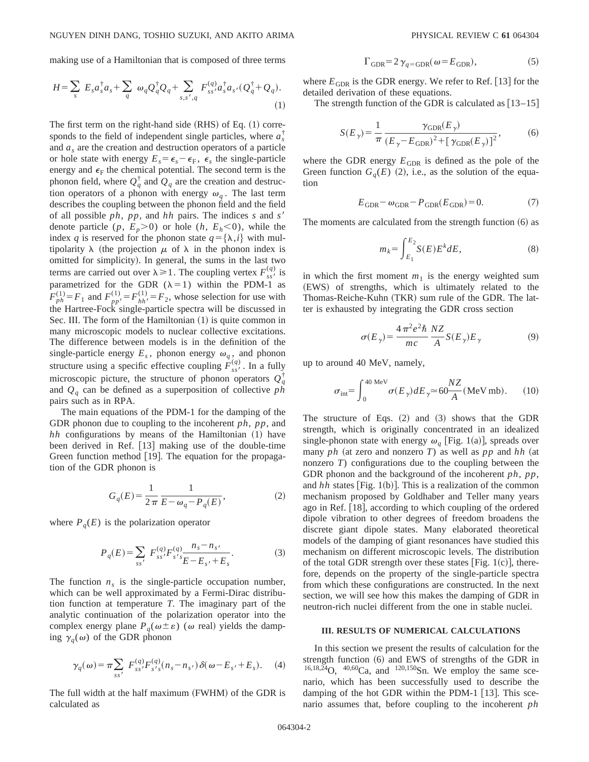making use of a Hamiltonian that is composed of three terms

$$
H = \sum_{s} E_{s} a_{s}^{\dagger} a_{s} + \sum_{q} \omega_{q} Q_{q}^{\dagger} Q_{q} + \sum_{s,s',q} F_{ss'}^{(q)} a_{s}^{\dagger} a_{s'} (Q_{q}^{\dagger} + Q_{q}).
$$
\n(1)

The first term on the right-hand side  $(RHS)$  of Eq.  $(1)$  corresponds to the field of independent single particles, where  $a_s^{\dagger}$ and *as* are the creation and destruction operators of a particle or hole state with energy  $E_s = \epsilon_s - \epsilon_F$ ,  $\epsilon_s$  the single-particle energy and  $\epsilon_F$  the chemical potential. The second term is the phonon field, where  $Q_q^{\dagger}$  and  $Q_q$  are the creation and destruction operators of a phonon with energy  $\omega_q$ . The last term describes the coupling between the phonon field and the field of all possible *ph*, *pp*, and *hh* pairs. The indices *s* and *s'* denote particle  $(p, E_p>0)$  or hole  $(h, E_h<0)$ , while the index *q* is reserved for the phonon state  $q = {\lambda, i}$  with multipolarity  $\lambda$  (the projection  $\mu$  of  $\lambda$  in the phonon index is omitted for simplicity). In general, the sums in the last two terms are carried out over  $\lambda \ge 1$ . The coupling vertex  $F_{ss}^{(q)}$  is parametrized for the GDR  $(\lambda=1)$  within the PDM-1 as  $F_{ph}^{(1)} = F_1$  and  $F_{pp'}^{(1)} = F_{hh'}^{(1)} = F_2$ , whose selection for use with the Hartree-Fock single-particle spectra will be discussed in Sec. III. The form of the Hamiltonian  $(1)$  is quite common in many microscopic models to nuclear collective excitations. The difference between models is in the definition of the single-particle energy  $E_s$ , phonon energy  $\omega_q$ , and phonon structure using a specific effective coupling  $F_{ss}^{(q)}$ . In a fully microscopic picture, the structure of phonon operators  $Q_q^{\dagger}$ and *Qq* can be defined as a superposition of collective *ph* pairs such as in RPA.

The main equations of the PDM-1 for the damping of the GDR phonon due to coupling to the incoherent *ph*, *pp*, and  $hh$  configurations by means of the Hamiltonian  $(1)$  have been derived in Ref.  $[13]$  making use of the double-time Green function method  $[19]$ . The equation for the propagation of the GDR phonon is

$$
G_q(E) = \frac{1}{2\pi} \frac{1}{E - \omega_q - P_q(E)},
$$
\n(2)

where  $P_q(E)$  is the polarization operator

$$
P_q(E) = \sum_{ss'} F_{ss'}^{(q)} F_{s's'}^{(q)} \frac{n_s - n_{s'}}{E - E_{s'} + E_s}.
$$
 (3)

The function  $n<sub>s</sub>$  is the single-particle occupation number, which can be well approximated by a Fermi-Dirac distribution function at temperature *T*. The imaginary part of the analytic continuation of the polarization operator into the complex energy plane  $P_q(\omega \pm \varepsilon)$  ( $\omega$  real) yields the damping  $\gamma_q(\omega)$  of the GDR phonon

$$
\gamma_q(\omega) = \pi \sum_{ss'} F_{ss'}^{(q)} F_{s's}^{(q)}(n_s - n_{s'}) \delta(\omega - E_{s'} + E_s). \tag{4}
$$

The full width at the half maximum (FWHM) of the GDR is calculated as

$$
\Gamma_{\text{GDR}} = 2 \gamma_{q = \text{GDR}} (\omega = E_{\text{GDR}}), \tag{5}
$$

where  $E_{GDR}$  is the GDR energy. We refer to Ref. [13] for the detailed derivation of these equations.

The strength function of the GDR is calculated as  $[13–15]$ 

$$
S(E_{\gamma}) = \frac{1}{\pi} \frac{\gamma_{\text{GDR}}(E_{\gamma})}{(E_{\gamma} - E_{\text{GDR}})^2 + [\gamma_{\text{GDR}}(E_{\gamma})]^2},
$$
(6)

where the GDR energy  $E_{GDR}$  is defined as the pole of the Green function  $G_q(E)$  (2), i.e., as the solution of the equation

$$
E_{\rm GDR} - \omega_{\rm GDR} - P_{\rm GDR}(E_{\rm GDR}) = 0. \tag{7}
$$

The moments are calculated from the strength function  $(6)$  as

$$
m_k = \int_{E_1}^{E_2} S(E) E^k dE,\tag{8}
$$

in which the first moment  $m_1$  is the energy weighted sum (EWS) of strengths, which is ultimately related to the Thomas-Reiche-Kuhn (TKR) sum rule of the GDR. The latter is exhausted by integrating the GDR cross section

$$
\sigma(E_{\gamma}) = \frac{4\pi^2 e^2 \hbar}{mc} \frac{NZ}{A} S(E_{\gamma}) E_{\gamma}
$$
 (9)

up to around 40 MeV, namely,

$$
\sigma_{\text{int}} = \int_0^{40 \text{ MeV}} \sigma(E_\gamma) dE_\gamma \approx 60 \frac{NZ}{A} (\text{MeV mb}). \quad (10)
$$

The structure of Eqs.  $(2)$  and  $(3)$  shows that the GDR strength, which is originally concentrated in an idealized single-phonon state with energy  $\omega_q$  [Fig. 1(a)], spreads over many *ph* (at zero and nonzero *T*) as well as *pp* and *hh* (at nonzero *T*) configurations due to the coupling between the GDR phonon and the background of the incoherent *ph*, *pp*, and  $hh$  states [Fig. 1(b)]. This is a realization of the common mechanism proposed by Goldhaber and Teller many years ago in Ref.  $[18]$ , according to which coupling of the ordered dipole vibration to other degrees of freedom broadens the discrete giant dipole states. Many elaborated theoretical models of the damping of giant resonances have studied this mechanism on different microscopic levels. The distribution of the total GDR strength over these states  $|Fig. 1(c)|$ , therefore, depends on the property of the single-particle spectra from which these configurations are constructed. In the next section, we will see how this makes the damping of GDR in neutron-rich nuclei different from the one in stable nuclei.

## **III. RESULTS OF NUMERICAL CALCULATIONS**

In this section we present the results of calculation for the strength function  $(6)$  and EWS of strengths of the GDR in  $16,18,\tilde{24}O$ ,  $40,60Ca$ , and  $120,150Sn$ . We employ the same scenario, which has been successfully used to describe the damping of the hot GDR within the PDM-1  $[13]$ . This scenario assumes that, before coupling to the incoherent *ph*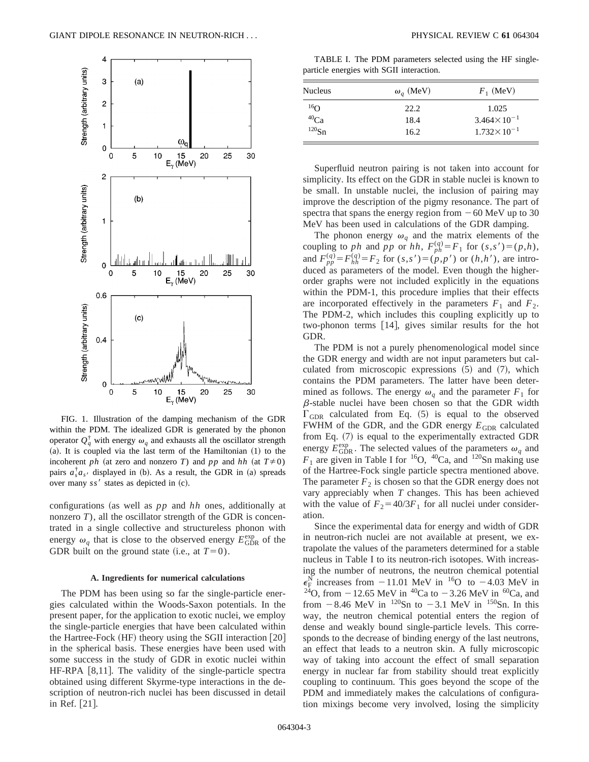

FIG. 1. Illustration of the damping mechanism of the GDR within the PDM. The idealized GDR is generated by the phonon operator  $Q_q^{\dagger}$  with energy  $\omega_q$  and exhausts all the oscillator strength  $(a)$ . It is coupled via the last term of the Hamiltonian  $(1)$  to the incoherent *ph* (at zero and nonzero *T*) and *pp* and *hh* (at  $T \neq 0$ ) pairs  $a_s^{\dagger} a_{s'}$  displayed in (b). As a result, the GDR in (a) spreads over many  $ss'$  states as depicted in  $(c)$ .

configurations (as well as  $pp$  and  $hh$  ones, additionally at nonzero *T*), all the oscillator strength of the GDR is concentrated in a single collective and structureless phonon with energy  $\omega_q$  that is close to the observed energy  $E_{\text{GDR}}^{\text{exp}}$  of the GDR built on the ground state (i.e., at  $T=0$ ).

#### **A. Ingredients for numerical calculations**

The PDM has been using so far the single-particle energies calculated within the Woods-Saxon potentials. In the present paper, for the application to exotic nuclei, we employ the single-particle energies that have been calculated within the Hartree-Fock  $(HF)$  theory using the SGII interaction  $[20]$ in the spherical basis. These energies have been used with some success in the study of GDR in exotic nuclei within HF-RPA [8,11]. The validity of the single-particle spectra obtained using different Skyrme-type interactions in the description of neutron-rich nuclei has been discussed in detail in Ref. [21].

TABLE I. The PDM parameters selected using the HF singleparticle energies with SGII interaction.

| Nucleus   | $\omega_q$ (MeV) | $F_1$ (MeV)            |
|-----------|------------------|------------------------|
| $^{16}$ O | 22.2             | 1.025                  |
| $^{40}Ca$ | 18.4             | $3.464 \times 10^{-1}$ |
| $120$ Sn  | 16.2             | $1.732 \times 10^{-1}$ |

Superfluid neutron pairing is not taken into account for simplicity. Its effect on the GDR in stable nuclei is known to be small. In unstable nuclei, the inclusion of pairing may improve the description of the pigmy resonance. The part of spectra that spans the energy region from  $-60$  MeV up to 30 MeV has been used in calculations of the GDR damping.

The phonon energy  $\omega_q$  and the matrix elements of the coupling to *ph* and *pp* or *hh*,  $F_{ph}^{(q)} = F_1$  for  $(s, s') = (p, h)$ , and  $F_{pp}^{(q)} = F_{hh}^{(q)} = F_2$  for  $(s, s') = (p, p')$  or  $(h, h')$ , are introduced as parameters of the model. Even though the higherorder graphs were not included explicitly in the equations within the PDM-1, this procedure implies that their effects are incorporated effectively in the parameters  $F_1$  and  $F_2$ . The PDM-2, which includes this coupling explicitly up to two-phonon terms  $[14]$ , gives similar results for the hot GDR.

The PDM is not a purely phenomenological model since the GDR energy and width are not input parameters but calculated from microscopic expressions  $(5)$  and  $(7)$ , which contains the PDM parameters. The latter have been determined as follows. The energy  $\omega_a$  and the parameter  $F_1$  for  $\beta$ -stable nuclei have been chosen so that the GDR width  $\Gamma_{\text{GDR}}$  calculated from Eq. (5) is equal to the observed FWHM of the GDR, and the GDR energy  $E_{GDR}$  calculated from Eq.  $(7)$  is equal to the experimentally extracted GDR energy  $E_{\text{GDR}}^{\text{exp}}$ . The selected values of the parameters  $\omega_q$  and  $F_1$  are given in Table I for <sup>16</sup>O, <sup>40</sup>Ca, and <sup>120</sup>Sn making use of the Hartree-Fock single particle spectra mentioned above. The parameter  $F_2$  is chosen so that the GDR energy does not vary appreciably when *T* changes. This has been achieved with the value of  $F_2 = 40/3F_1$  for all nuclei under consideration.

Since the experimental data for energy and width of GDR in neutron-rich nuclei are not available at present, we extrapolate the values of the parameters determined for a stable nucleus in Table I to its neutron-rich isotopes. With increasing the number of neutrons, the neutron chemical potential  $\epsilon_F^{\text{N}}$  increases from -11.01 MeV in <sup>16</sup>O to -4.03 MeV in <sup>24</sup>O, from -12.65 MeV in <sup>40</sup>Ca to -3.26 MeV in <sup>60</sup>Ca, and from  $-8.46$  MeV in  $^{120}$ Sn to  $-3.1$  MeV in  $^{150}$ Sn. In this way, the neutron chemical potential enters the region of dense and weakly bound single-particle levels. This corresponds to the decrease of binding energy of the last neutrons, an effect that leads to a neutron skin. A fully microscopic way of taking into account the effect of small separation energy in nuclear far from stability should treat explicitly coupling to continuum. This goes beyond the scope of the PDM and immediately makes the calculations of configuration mixings become very involved, losing the simplicity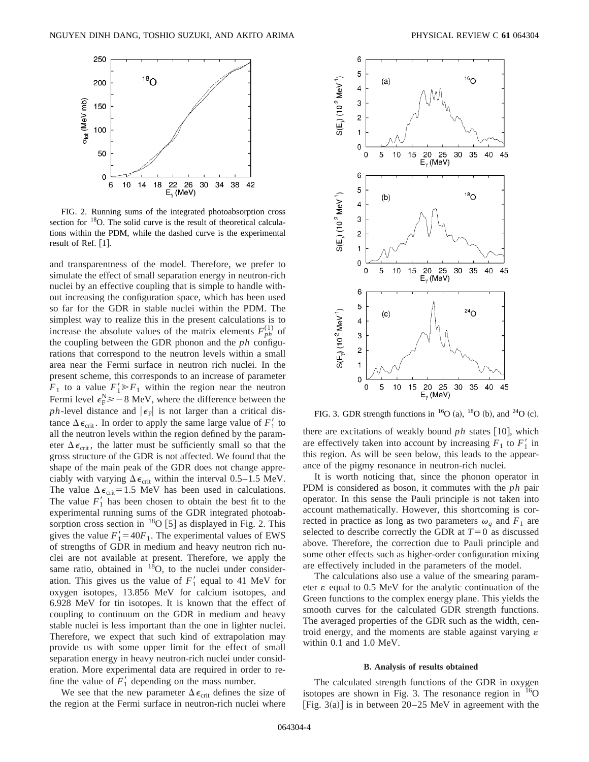

FIG. 2. Running sums of the integrated photoabsorption cross section for <sup>18</sup>O. The solid curve is the result of theoretical calculations within the PDM, while the dashed curve is the experimental result of Ref.  $[1]$ .

and transparentness of the model. Therefore, we prefer to simulate the effect of small separation energy in neutron-rich nuclei by an effective coupling that is simple to handle without increasing the configuration space, which has been used so far for the GDR in stable nuclei within the PDM. The simplest way to realize this in the present calculations is to increase the absolute values of the matrix elements  $F_{ph}^{(1)}$  of the coupling between the GDR phonon and the *ph* configurations that correspond to the neutron levels within a small area near the Fermi surface in neutron rich nuclei. In the present scheme, this corresponds to an increase of parameter  $F_1$  to a value  $F_1' \ge F_1$  within the region near the neutron Fermi level  $\epsilon_{\rm F}^{\rm N} \ge -8$  MeV, where the difference between the *ph*-level distance and  $|\epsilon_F|$  is not larger than a critical distance  $\Delta \epsilon_{\text{crit}}$ . In order to apply the same large value of  $F'_1$  to all the neutron levels within the region defined by the parameter  $\Delta \epsilon_{\text{crit}}$ , the latter must be sufficiently small so that the gross structure of the GDR is not affected. We found that the shape of the main peak of the GDR does not change appreciably with varying  $\Delta \epsilon_{\rm crit}$  within the interval 0.5–1.5 MeV. The value  $\Delta \epsilon_{\text{crit}}=1.5$  MeV has been used in calculations. The value  $F'_1$  has been chosen to obtain the best fit to the experimental running sums of the GDR integrated photoabsorption cross section in  $^{18}O$  [5] as displayed in Fig. 2. This gives the value  $F'_1 = 40F_1$ . The experimental values of EWS of strengths of GDR in medium and heavy neutron rich nuclei are not available at present. Therefore, we apply the same ratio, obtained in  $^{18}O$ , to the nuclei under consideration. This gives us the value of  $F'_1$  equal to 41 MeV for oxygen isotopes, 13.856 MeV for calcium isotopes, and 6.928 MeV for tin isotopes. It is known that the effect of coupling to continuum on the GDR in medium and heavy stable nuclei is less important than the one in lighter nuclei. Therefore, we expect that such kind of extrapolation may provide us with some upper limit for the effect of small separation energy in heavy neutron-rich nuclei under consideration. More experimental data are required in order to refine the value of  $F_1'$  depending on the mass number.

We see that the new parameter  $\Delta \epsilon_{\text{crit}}$  defines the size of the region at the Fermi surface in neutron-rich nuclei where



FIG. 3. GDR strength functions in  ${}^{16}O$  (a),  ${}^{18}O$  (b), and  ${}^{24}O$  (c).

there are excitations of weakly bound  $ph$  states  $[10]$ , which are effectively taken into account by increasing  $F_1$  to  $F'_1$  in this region. As will be seen below, this leads to the appearance of the pigmy resonance in neutron-rich nuclei.

It is worth noticing that, since the phonon operator in PDM is considered as boson, it commutes with the *ph* pair operator. In this sense the Pauli principle is not taken into account mathematically. However, this shortcoming is corrected in practice as long as two parameters  $\omega_q$  and  $F_1$  are selected to describe correctly the GDR at  $T=0$  as discussed above. Therefore, the correction due to Pauli principle and some other effects such as higher-order configuration mixing are effectively included in the parameters of the model.

The calculations also use a value of the smearing parameter  $\varepsilon$  equal to 0.5 MeV for the analytic continuation of the Green functions to the complex energy plane. This yields the smooth curves for the calculated GDR strength functions. The averaged properties of the GDR such as the width, centroid energy, and the moments are stable against varying  $\varepsilon$ within 0.1 and 1.0 MeV.

## **B. Analysis of results obtained**

The calculated strength functions of the GDR in oxygen isotopes are shown in Fig. 3. The resonance region in  $^{16}O$ [Fig. 3(a)] is in between  $20-25$  MeV in agreement with the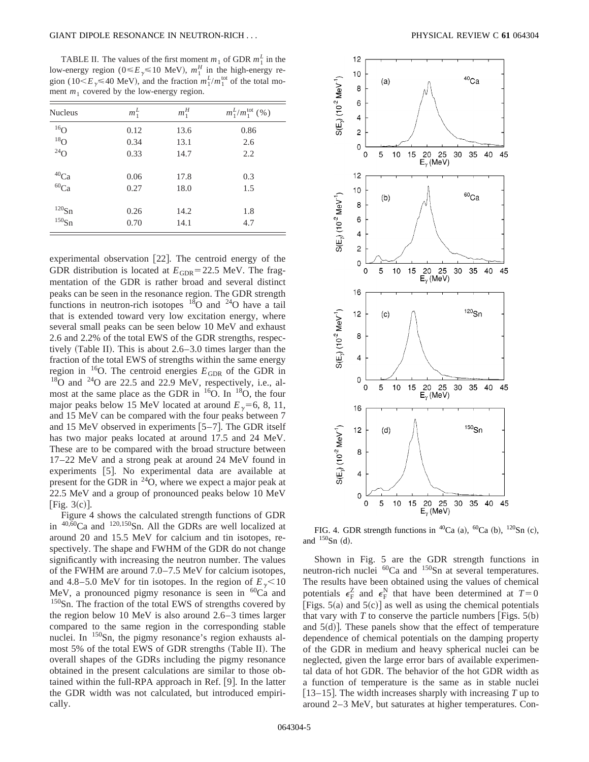## GIANT DIPOLE RESONANCE IN NEUTRON-RICH . . . PHYSICAL REVIEW C **61** 064304

TABLE II. The values of the first moment  $m_1$  of GDR  $m_1^L$  in the low-energy region ( $0 \le E_\gamma \le 10$  MeV),  $m_1^H$  in the high-energy region (10< $E_\gamma$  \levation 4 (10), and the fraction  $m_1^L/m_1^{\text{tot}}$  of the total moment  $m_1$  covered by the low-energy region.

| <b>Nucleus</b>           | $m_1^L$ | $m_1^H$ | $m_1^L/m_1^{\text{tot}}$ (%) |
|--------------------------|---------|---------|------------------------------|
| $^{16}$ O                | 0.12    | 13.6    | 0.86                         |
| $^{18}$ O<br>$^{24}$ O   | 0.34    | 13.1    | 2.6                          |
|                          | 0.33    | 14.7    | 2.2                          |
| $^{40}$ Ca<br>$^{60}$ Ca | 0.06    | 17.8    | 0.3                          |
|                          | 0.27    | 18.0    | 1.5                          |
| $^{120}Sn$               | 0.26    | 14.2    | 1.8                          |
| $150$ Sn                 | 0.70    | 14.1    | 4.7                          |

experimental observation [22]. The centroid energy of the GDR distribution is located at  $E_{GDR}$ =22.5 MeV. The fragmentation of the GDR is rather broad and several distinct peaks can be seen in the resonance region. The GDR strength functions in neutron-rich isotopes  $^{18}$ O and  $^{24}$ O have a tail that is extended toward very low excitation energy, where several small peaks can be seen below 10 MeV and exhaust 2.6 and 2.2% of the total EWS of the GDR strengths, respectively (Table II). This is about  $2.6-3.0$  times larger than the fraction of the total EWS of strengths within the same energy region in <sup>16</sup>O. The centroid energies  $E_{GDR}$  of the GDR in  $18$ O and  $24$ O are 22.5 and 22.9 MeV, respectively, i.e., almost at the same place as the GDR in  $16$ O. In  $18$ O, the four major peaks below 15 MeV located at around  $E_{\gamma}$ =6, 8, 11, and 15 MeV can be compared with the four peaks between 7 and 15 MeV observed in experiments  $[5-7]$ . The GDR itself has two major peaks located at around 17.5 and 24 MeV. These are to be compared with the broad structure between 17–22 MeV and a strong peak at around 24 MeV found in experiments [5]. No experimental data are available at present for the GDR in  $^{24}O$ , where we expect a major peak at 22.5 MeV and a group of pronounced peaks below 10 MeV [Fig.  $3(c)$ ].

Figure 4 shows the calculated strength functions of GDR in 40,60Ca and 120,150Sn. All the GDRs are well localized at around 20 and 15.5 MeV for calcium and tin isotopes, respectively. The shape and FWHM of the GDR do not change significantly with increasing the neutron number. The values of the FWHM are around 7.0–7.5 MeV for calcium isotopes, and 4.8–5.0 MeV for tin isotopes. In the region of  $E_{\gamma}$  < 10 MeV, a pronounced pigmy resonance is seen in  ${}^{60}Ca$  and <sup>150</sup>Sn. The fraction of the total EWS of strengths covered by the region below 10 MeV is also around 2.6–3 times larger compared to the same region in the corresponding stable nuclei. In  $150$ Sn, the pigmy resonance's region exhausts almost 5% of the total EWS of GDR strengths (Table II). The overall shapes of the GDRs including the pigmy resonance obtained in the present calculations are similar to those obtained within the full-RPA approach in Ref.  $[9]$ . In the latter the GDR width was not calculated, but introduced empirically.



FIG. 4. GDR strength functions in <sup>40</sup>Ca (a), <sup>60</sup>Ca (b), <sup>120</sup>Sn (c), and  $^{150}Sn$  (d).

Shown in Fig. 5 are the GDR strength functions in neutron-rich nuclei  ${}^{60}Ca$  and  ${}^{150}Sn$  at several temperatures. The results have been obtained using the values of chemical potentials  $\epsilon_F^Z$  and  $\epsilon_F^N$  that have been determined at  $T=0$ [Figs. 5(a) and  $5(c)$ ] as well as using the chemical potentials that vary with  $T$  to conserve the particle numbers [Figs.  $5(b)$ ] and  $5(d)$ . These panels show that the effect of temperature dependence of chemical potentials on the damping property of the GDR in medium and heavy spherical nuclei can be neglected, given the large error bars of available experimental data of hot GDR. The behavior of the hot GDR width as a function of temperature is the same as in stable nuclei  $[13–15]$ . The width increases sharply with increasing *T* up to around 2–3 MeV, but saturates at higher temperatures. Con-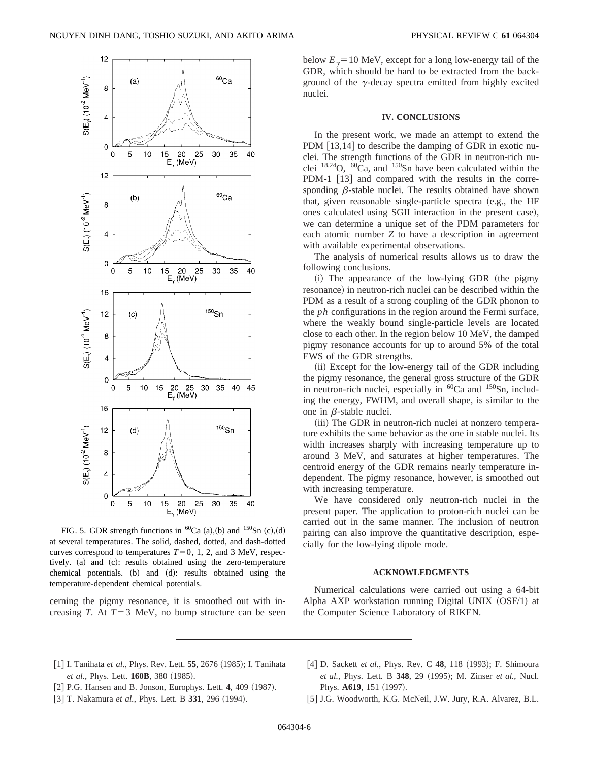

FIG. 5. GDR strength functions in  ${}^{60}Ca$  (a),(b) and  ${}^{150}Sn$  (c),(d) at several temperatures. The solid, dashed, dotted, and dash-dotted curves correspond to temperatures  $T=0, 1, 2,$  and 3 MeV, respectively. (a) and (c): results obtained using the zero-temperature chemical potentials.  $(b)$  and  $(d)$ : results obtained using the temperature-dependent chemical potentials.

cerning the pigmy resonance, it is smoothed out with increasing *T*. At  $T=3$  MeV, no bump structure can be seen below  $E<sub>y</sub>=10$  MeV, except for a long low-energy tail of the GDR, which should be hard to be extracted from the background of the  $\gamma$ -decay spectra emitted from highly excited nuclei.

## **IV. CONCLUSIONS**

In the present work, we made an attempt to extend the PDM  $[13,14]$  to describe the damping of GDR in exotic nuclei. The strength functions of the GDR in neutron-rich nuclei  $^{18,24}$ O,  $^{60}$ Ca, and  $^{150}$ Sn have been calculated within the PDM-1 [13] and compared with the results in the corresponding  $\beta$ -stable nuclei. The results obtained have shown that, given reasonable single-particle spectra  $(e.g., the HF)$ ones calculated using SGII interaction in the present case), we can determine a unique set of the PDM parameters for each atomic number *Z* to have a description in agreement with available experimental observations.

The analysis of numerical results allows us to draw the following conclusions.

 $(i)$  The appearance of the low-lying GDR (the pigmy resonance) in neutron-rich nuclei can be described within the PDM as a result of a strong coupling of the GDR phonon to the *ph* configurations in the region around the Fermi surface, where the weakly bound single-particle levels are located close to each other. In the region below 10 MeV, the damped pigmy resonance accounts for up to around 5% of the total EWS of the GDR strengths.

(ii) Except for the low-energy tail of the GDR including the pigmy resonance, the general gross structure of the GDR in neutron-rich nuclei, especially in  ${}^{60}Ca$  and  ${}^{150}Sn$ , including the energy, FWHM, and overall shape, is similar to the one in  $\beta$ -stable nuclei.

(iii) The GDR in neutron-rich nuclei at nonzero temperature exhibits the same behavior as the one in stable nuclei. Its width increases sharply with increasing temperature up to around 3 MeV, and saturates at higher temperatures. The centroid energy of the GDR remains nearly temperature independent. The pigmy resonance, however, is smoothed out with increasing temperature.

We have considered only neutron-rich nuclei in the present paper. The application to proton-rich nuclei can be carried out in the same manner. The inclusion of neutron pairing can also improve the quantitative description, especially for the low-lying dipole mode.

#### **ACKNOWLEDGMENTS**

Numerical calculations were carried out using a 64-bit Alpha AXP workstation running Digital UNIX  $(OSF/1)$  at the Computer Science Laboratory of RIKEN.

- [1] I. Tanihata et al., Phys. Rev. Lett. **55**, 2676 (1985); I. Tanihata *et al.*, Phys. Lett. **160B**, 380 (1985).
- [2] P.G. Hansen and B. Jonson, Europhys. Lett. 4, 409 (1987).
- [3] T. Nakamura et al., Phys. Lett. B 331, 296 (1994).
- [4] D. Sackett *et al.*, Phys. Rev. C **48**, 118 (1993); F. Shimoura *et al.*, Phys. Lett. B **348**, 29 ~1995!; M. Zinser *et al.*, Nucl. Phys. **A619**, 151 (1997).
- [5] J.G. Woodworth, K.G. McNeil, J.W. Jury, R.A. Alvarez, B.L.